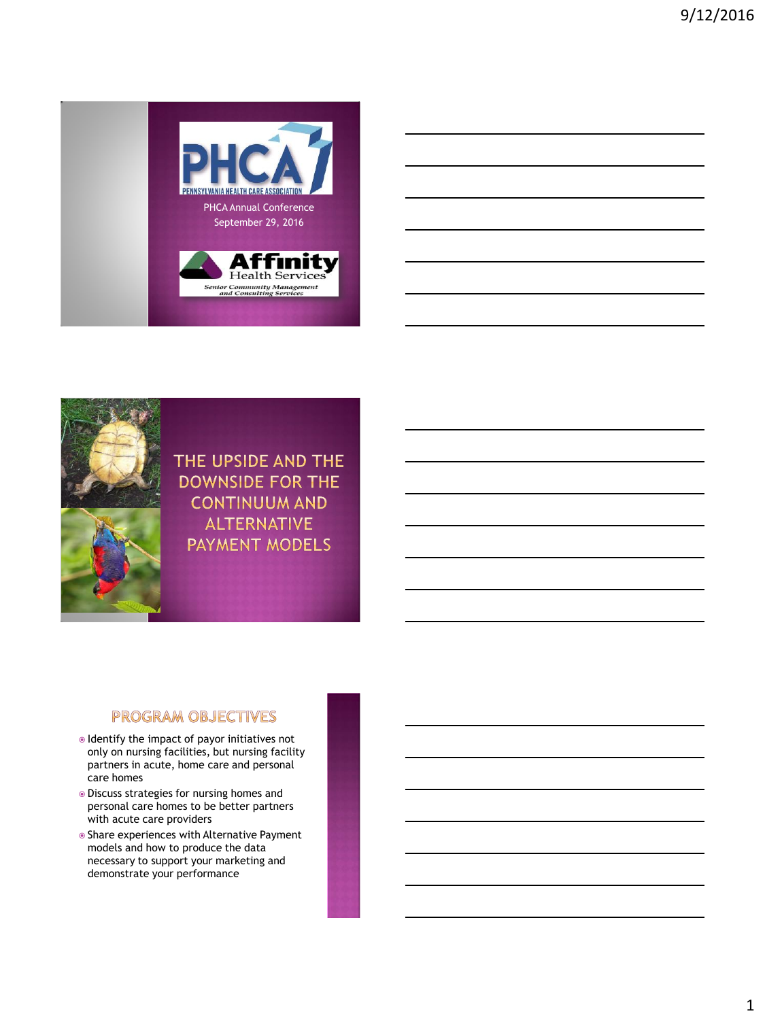



THE UPSIDE AND THE **DOWNSIDE FOR THE CONTINUUM AND ALTERNATIVE PAYMENT MODELS** 

# **PROGRAM OBJECTIVES**

- Identify the impact of payor initiatives not only on nursing facilities, but nursing facility partners in acute, home care and personal care homes
- Discuss strategies for nursing homes and personal care homes to be better partners with acute care providers
- Share experiences with Alternative Payment models and how to produce the data necessary to support your marketing and demonstrate your performance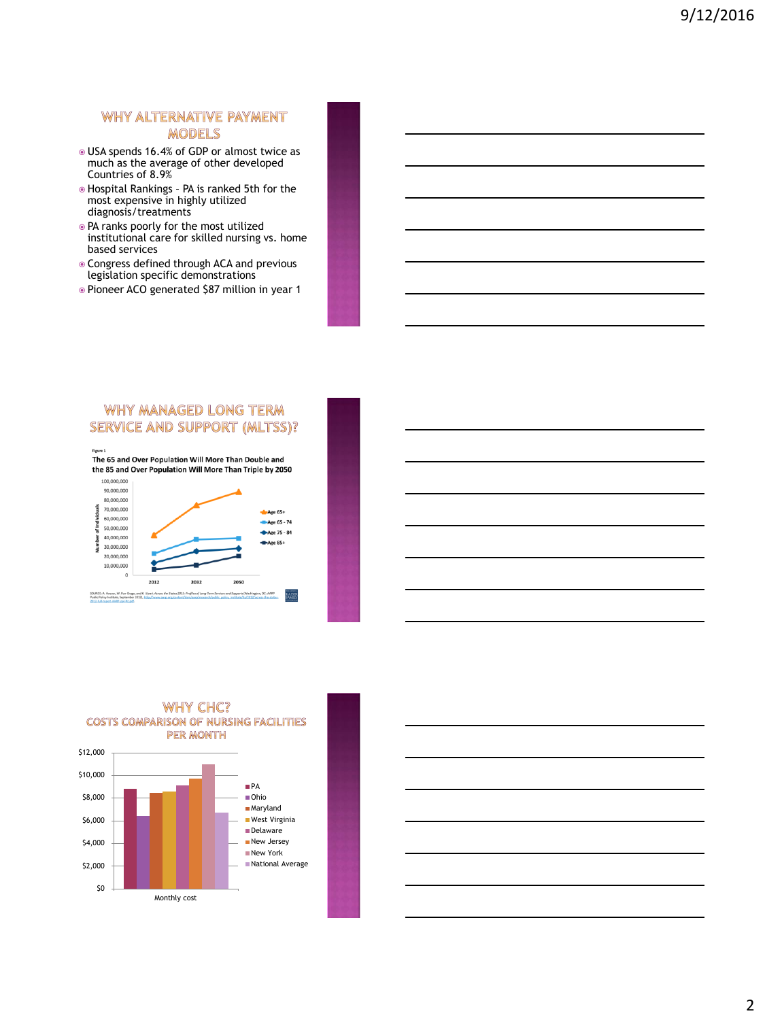### WHY ALTERNATIVE PAYMENT **MODELS**

- USA spends 16.4% of GDP or almost twice as much as the average of other developed Countries of 8.9%
- Hospital Rankings PA is ranked 5th for the most expensive in highly utilized diagnosis/treatments
- PA ranks poorly for the most utilized institutional care for skilled nursing vs. home based services
- Congress defined through ACA and previous legislation specific demonstrations
- Pioneer ACO generated \$87 million in year 1

### WHY MANAGED LONG TERM SERVICE AND SUPPORT (MLTSS)?





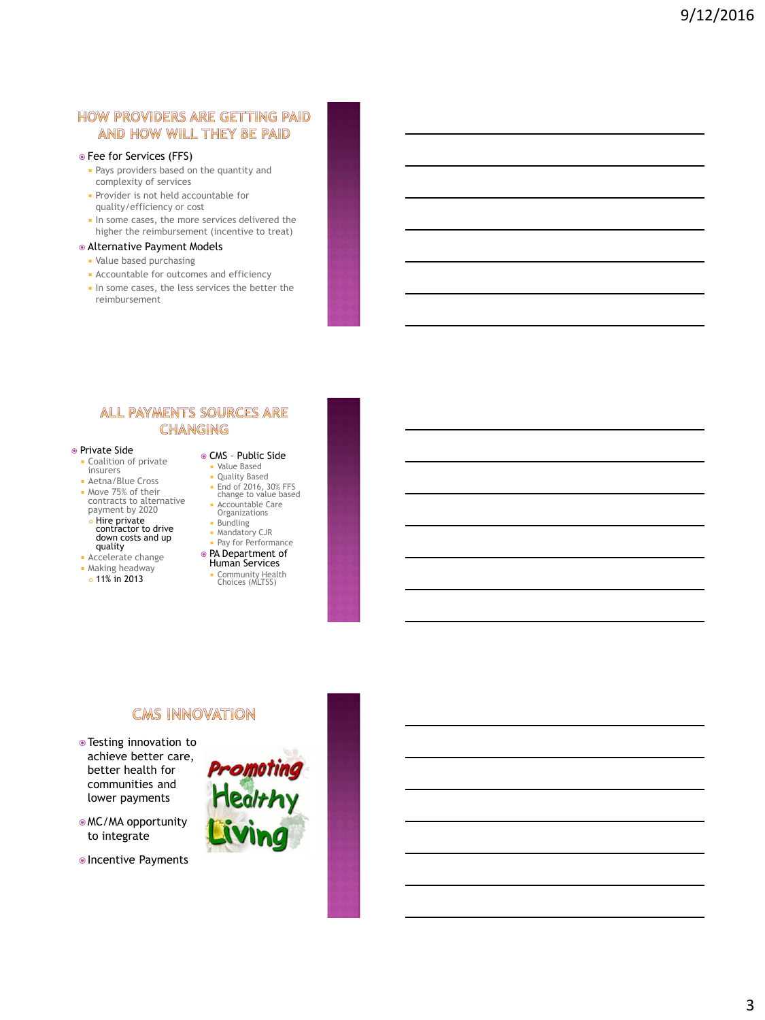# **HOW PROVIDERS ARE GETTING PAID** AND HOW WILL THEY BE PAID

- Fee for Services (FFS)
	- **Pays providers based on the quantity and** complexity of services
- **Provider is not held accountable for** quality/efficiency or cost
- In some cases, the more services delivered the higher the reimbursement (incentive to treat)

#### Alternative Payment Models

- Value based purchasing
- Accountable for outcomes and efficiency
- In some cases, the less services the better the reimbursement

### **ALL PAYMENTS SOURCES ARE CHANGING**

- Private Side
	- **Coalition of private** insurers
- **Aetna/Blue Cross Move 75% of their** contracts to alternative payment by 2020
- $\bullet$  Hire private contractor to drive down costs and up quality
- **Accelerate change**
- Making headway
- o 11% in 2013
- CMS Public Side Value Based
	- Quality Based
	- **End of 2016, 30% FFS** change to value based
	- Accountable Care Organizations
	- **Bundling**
- **Mandatory CJR**
- **Pay for Performance**
- PA Department of Human Services
	- Community Health Choices (MLTSS)

# **CMS INNOVATION**

- Testing innovation to achieve better care, better health for communities and lower payments
- MC/MA opportunity to integrate
- **OIncentive Payments**

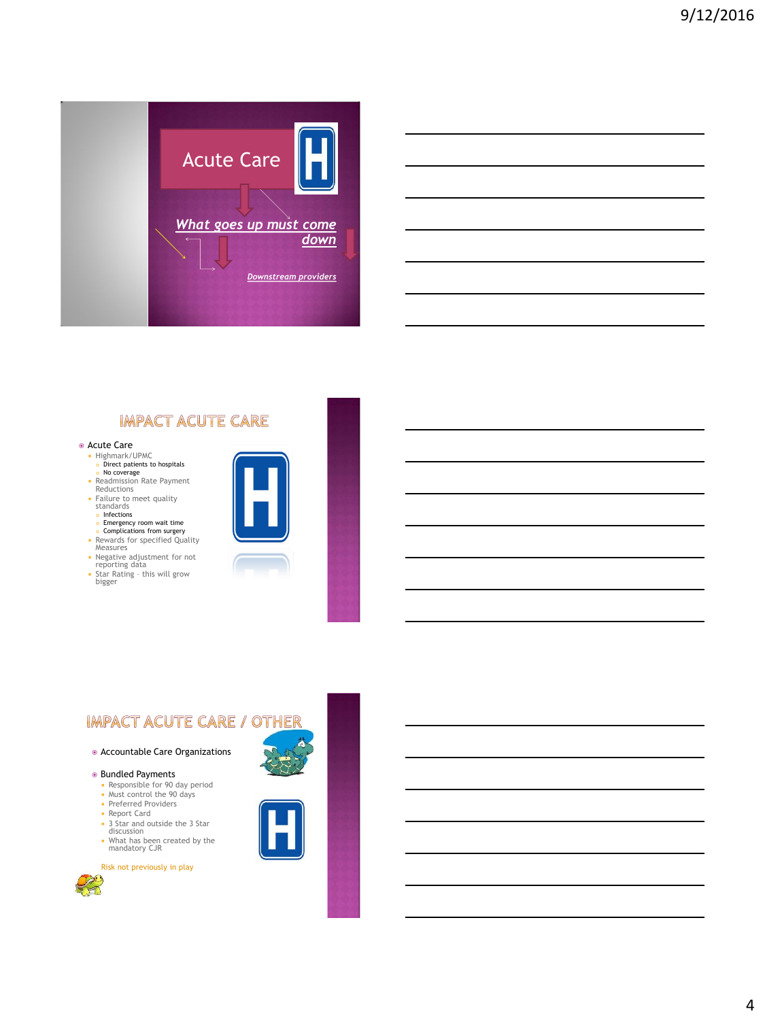

# **IMPACT ACUTE CARE**

- Acute Care
	- Highmark/UPMC Direct patients to hospitals No coverage
	-
	- Readmission Rate Payment Reductions
	- Failure to meet quality standards
	- **o** Infections
	- **Emergency room wait time**<br>**Complications from surgery**
	- Rewards for specified Quality Measures
	- Negative adjustment for not reporting data Star Rating this will grow bigger
	-



# **IMPACT ACUTE CARE / OTHER**

- Accountable Care Organizations
- Bundled Payments
	- Responsible for 90 day period Must control the 90 days
	- **Preferred Providers**
- Report Card
- 3 Star and outside the 3 Star
- discussion What has been created by the mandatory CJR
- 

Risk not previously in play



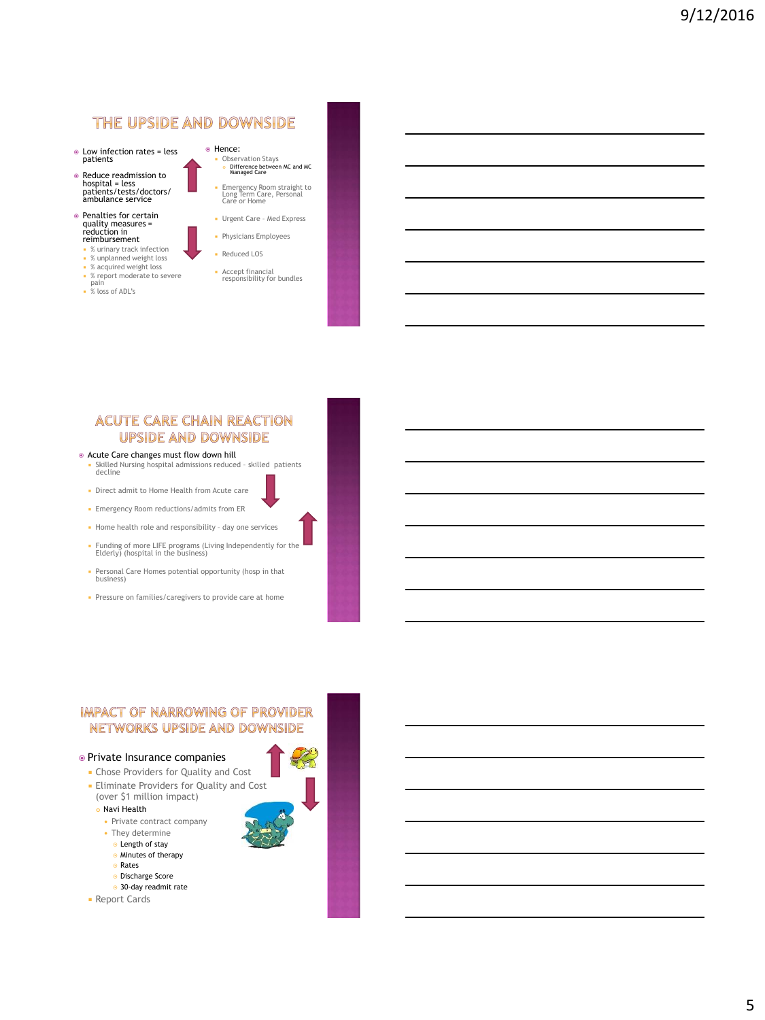# THE UPSIDE AND DOWNSIDE

- Low infection rates = less patients
- Reduce readmission to hospital = less patients/tests/doctors/ ambulance service
- Penalties for certain quality measures = reduction in reimbursement
	- % urinary track infection
	- % unplanned weight loss
	- % acquired weight loss % report moderate to severe pain
	- % loss of ADL's

Observation Stays Difference between MC and MC Managed Care

Hence:

- Emergency Room straight to Long Term Care, Personal Care or Home **Urgent Care - Med Express**
- **Physicians Employees**
- Reduced LOS
- Accept financial responsibility for bundles
- 

### **ACUTE CARE CHAIN REACTION UPSIDE AND DOWNSIDE**

- Acute Care changes must flow down hill Skilled Nursing hospital admissions reduced – skilled patients decline
- Direct admit to Home Health from Acute care
- Emergency Room reductions/admits from ER
- Home health role and responsibility day one services
- Funding of more LIFE programs (Living Independently for the Elderly) (hospital in the business)
- Personal Care Homes potential opportunity (hosp in that business)
- **Pressure on families/caregivers to provide care at home**

#### **IMPACT OF NARROWING OF PROVIDER** NETWORKS UPSIDE AND DOWNSIDE

#### Private Insurance companies

- Chose Providers for Quality and Cost
- **Eliminate Providers for Quality and Cost** (over \$1 million impact)

#### Navi Health

- Private contract company
- They determine
- $\bullet$  Length of stay **Minutes of therapy**
- Rates
- 
- Discharge Score 30-day readmit rate
- **Report Cards**



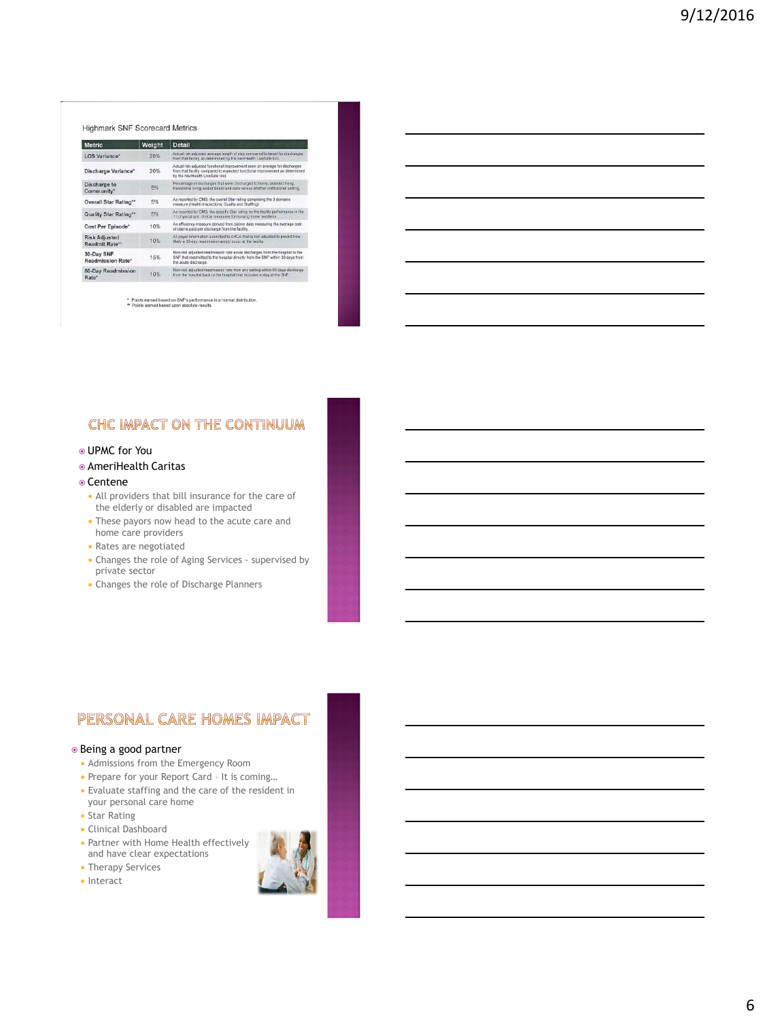#### Highmark SNF Scorecard Metrics

| <b>Metric</b>                          | Weight | <b>Detail</b>                                                                                                                                                                                  |
|----------------------------------------|--------|------------------------------------------------------------------------------------------------------------------------------------------------------------------------------------------------|
| <b>LOS Variance*</b>                   | 20%    | Actual risk adjusted average length of stay compared to target for discharges.<br>from that facility as determined by the naviriealth LiveSafe tool.                                           |
| Discharge Variance*                    | 20%    | Actual risk adjusted functional improvement seen on average for discharges<br>from that facility compared to expected functional improvement as determined<br>by the naviHealth LiveSafe tool. |
| Discharge to<br>Community*             | 5%     | Percentage of discharges that were discharged to home, assisted living.<br>transitional living and/or board and care versus another institutional setting.                                     |
| Overall Star Rating**                  | 5%     | As reported by CMS, the overall Star rating comprising the 3 domains.<br>measure (Health Inspections, Quality and Staffing)                                                                    |
| Quality Star Rating**                  | 5%     | As reported by CMS, the specific Star rating for the facility performance in the<br>11 physical and dinical measures for nursing home residents.                                               |
| Cost Per Episode*                      | 10%    | An efficiency measure derived from claims data measuring the average cost<br>of claims paid per discharge from the facility.                                                                   |
| <b>Risk Adjusted</b><br>Readmit Rate** | 10%    | All payer information submitted to AHCA that is risk adjusted to predict how<br>likely a 30-day readmission would occur at the facility.                                                       |
| 30-Day SNF<br><b>Readmission Rate*</b> | 15%    | Non-risk adjusted readmission rate acute discharges from the hospital to the<br>SNF that readmitted to the hospital directly from the SNF within 30 days from<br>the acute discharge.          |
| <b>60-Day Readmission</b><br>Rate*     | 10%    | Non-risk adjusted readmission rate from any setting within 60 days discharge.<br>from the hospital back to the hospital that included a stay at the SNF.                                       |

\* Points earned based on SNF's performance in a normal distribution \*\* Points earned based upon absolute results.

# CHC IMPACT ON THE CONTINUUM

- UPMC for You
- AmeriHealth Caritas

#### Centene

- All providers that bill insurance for the care of the elderly or disabled are impacted
- **These payors now head to the acute care and** home care providers
- Rates are negotiated
- Changes the role of Aging Services supervised by private sector
- Changes the role of Discharge Planners

### PERSONAL CARE HOMES IMPACT

#### Being a good partner

- Admissions from the Emergency Room
- Prepare for your Report Card It is coming...
- Evaluate staffing and the care of the resident in your personal care home
- **Star Rating**
- **Clinical Dashboard**
- **Partner with Home Health effectively** and have clear expectations
- **Therapy Services**
- **Interact**

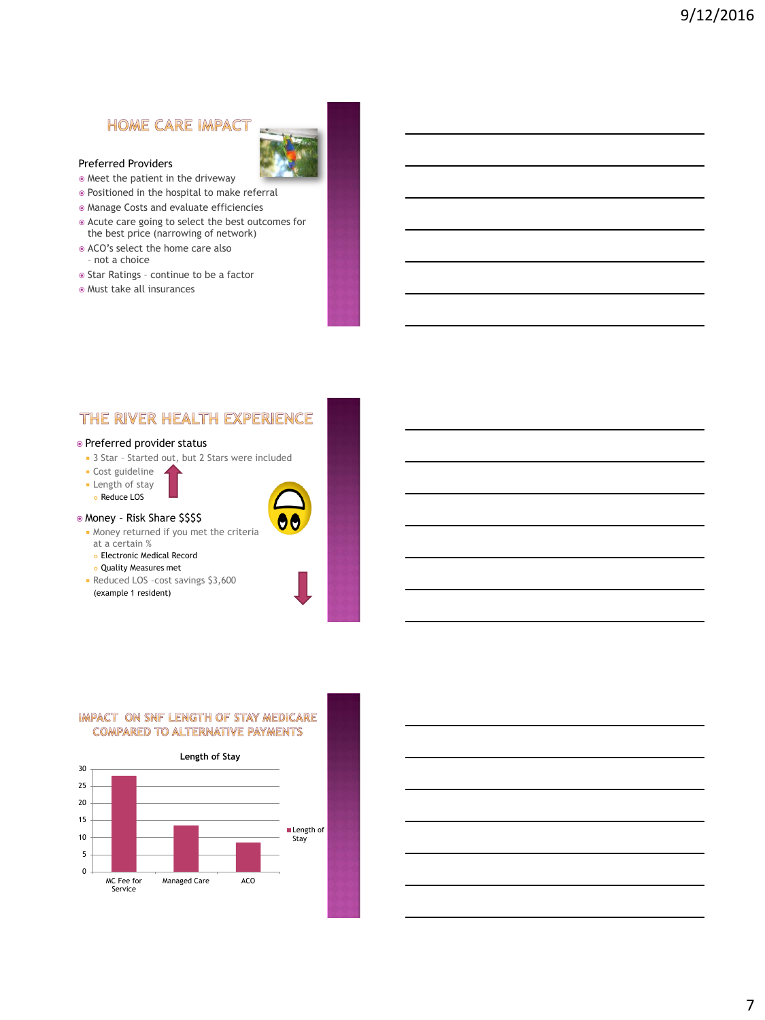# **HOME CARE IMPACT**



- Meet the patient in the driveway
- Positioned in the hospital to make referral
- Manage Costs and evaluate efficiencies
- Acute care going to select the best outcomes for the best price (narrowing of network)
- ACO's select the home care also
- not a choice
- $\circ$  Star Ratings continue to be a factor
- Must take all insurances

# THE RIVER HEALTH EXPERIENCE

#### Preferred provider status

- 3 Star Started out, but 2 Stars were included
- Cost guideline
- **Length of stay**
- Reduce LOS

### Money – Risk Share \$\$\$\$

- Money returned if you met the criteria at a certain %
	- Electronic Medical Record
	- Quality Measures met
- Reduced LOS –cost savings \$3,600 (example 1 resident)



#### IMPACT ON SNF LENGTH OF STAY MEDICARE **COMPARED TO ALTERNATIVE PAYMENTS**

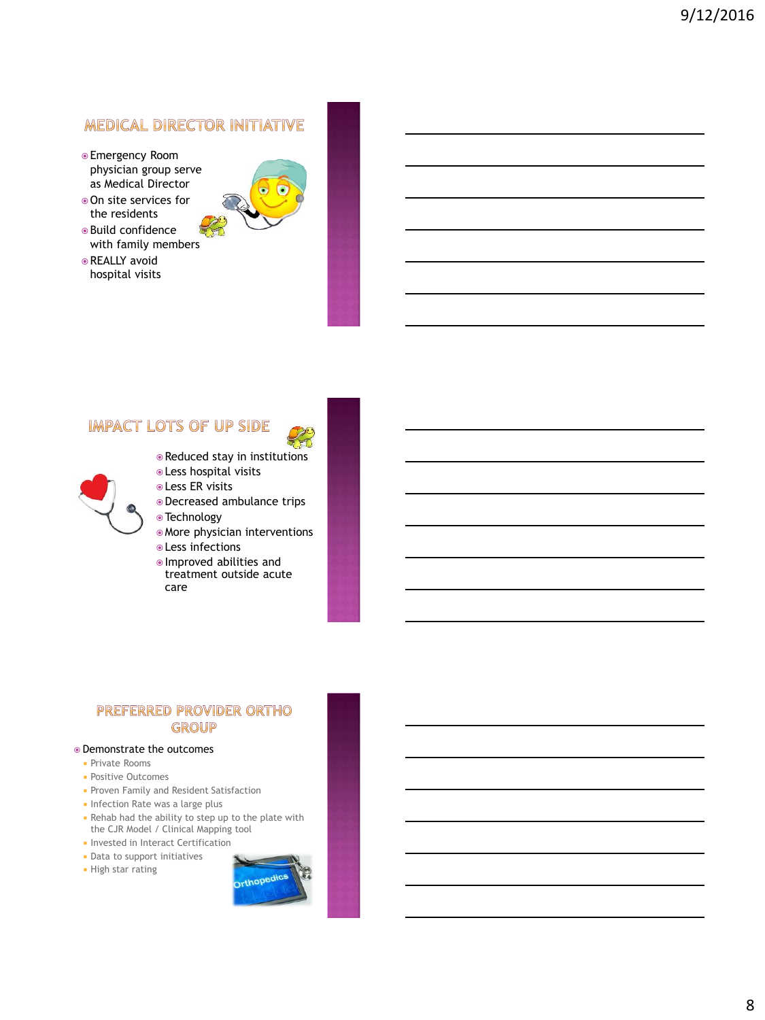# **MEDICAL DIRECTOR INITIATIVE**

- Emergency Room physician group serve as Medical Director
- On site services for the residents
- Build confidence with family members
- **REALLY** avoid hospital visits



# **IMPACT LOTS OF UP SIDE**



- Reduced stay in institutions
- Less hospital visits
- **Less ER visits**
- Decreased ambulance trips
- Technology
- More physician interventions Less infections
- Improved abilities and treatment outside acute care

### PREFERRED PROVIDER ORTHO GROUP

#### Demonstrate the outcomes

- **Private Rooms**
- **Positive Outcomes**
- **Proven Family and Resident Satisfaction**
- **Infection Rate was a large plus**
- Rehab had the ability to step up to the plate with the CJR Model / Clinical Mapping tool
- **Invested in Interact Certification**
- Data to support initiatives
- High star rating

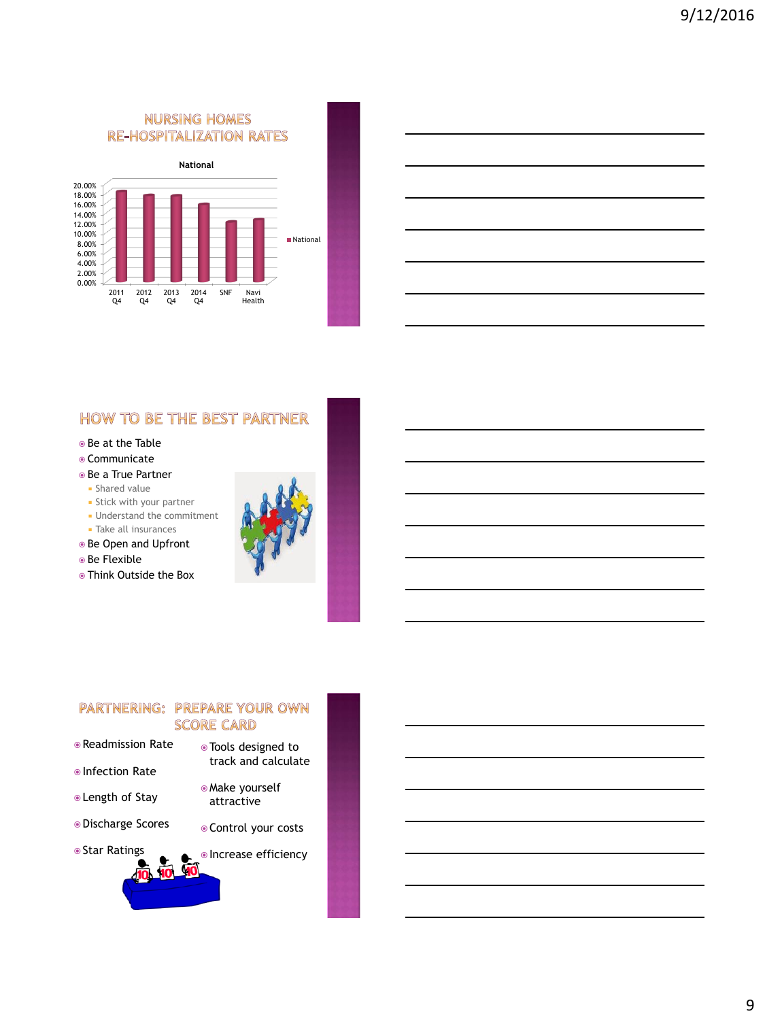# **NURSING HOMES RE-HOSPITALIZATION RATES**



# **HOW TO BE THE BEST PARTNER**

- Be at the Table
- Communicate
- Be a True Partner
- **Shared value**
- **Stick with your partner**
- Understand the commitment
- **Take all insurances**
- Be Open and Upfront
- Be Flexible
- Think Outside the Box



### PARTNERING: PREPARE YOUR OWN **SCORE CARD**

- Readmission Rate
- Infection Rate
- Length of Stay
- Discharge Scores
- Star Ratings

Control your costs

 Make yourself attractive

 Tools designed to track and calculate

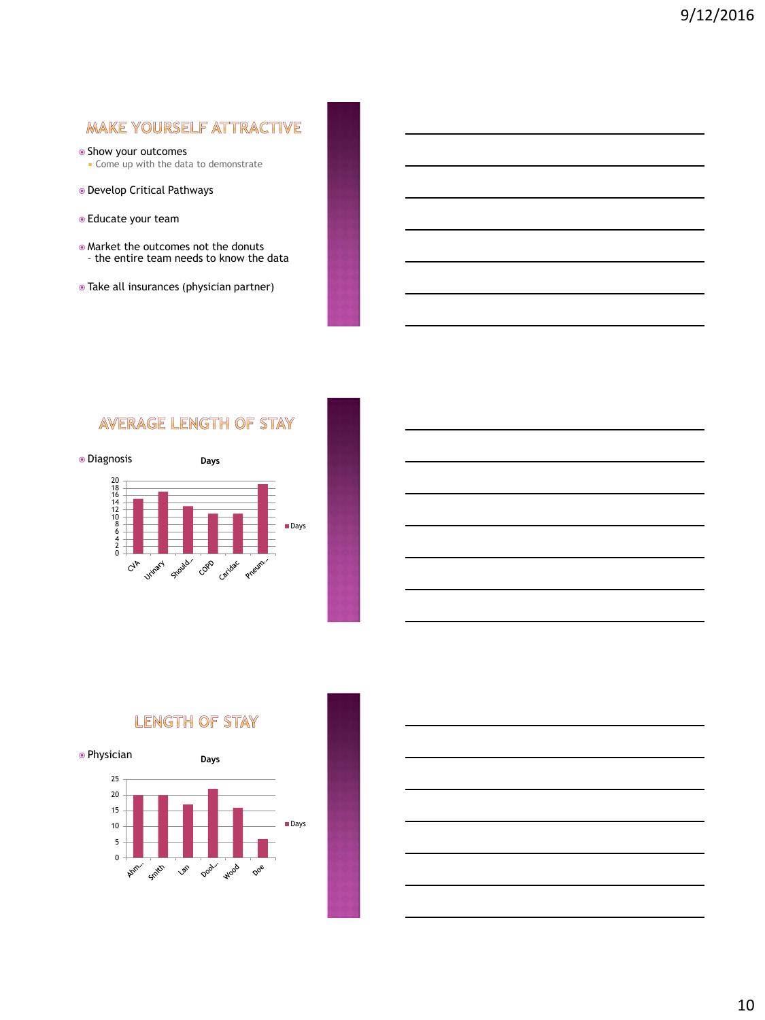# MAKE YOURSELF ATTRACTIVE

- Show your outcomes
- **Come up with the data to demonstrate**
- Develop Critical Pathways
- Educate your team
- Market the outcomes not the donuts – the entire team needs to know the data
- Take all insurances (physician partner)

# **AVERAGE LENGTH OF STAY**





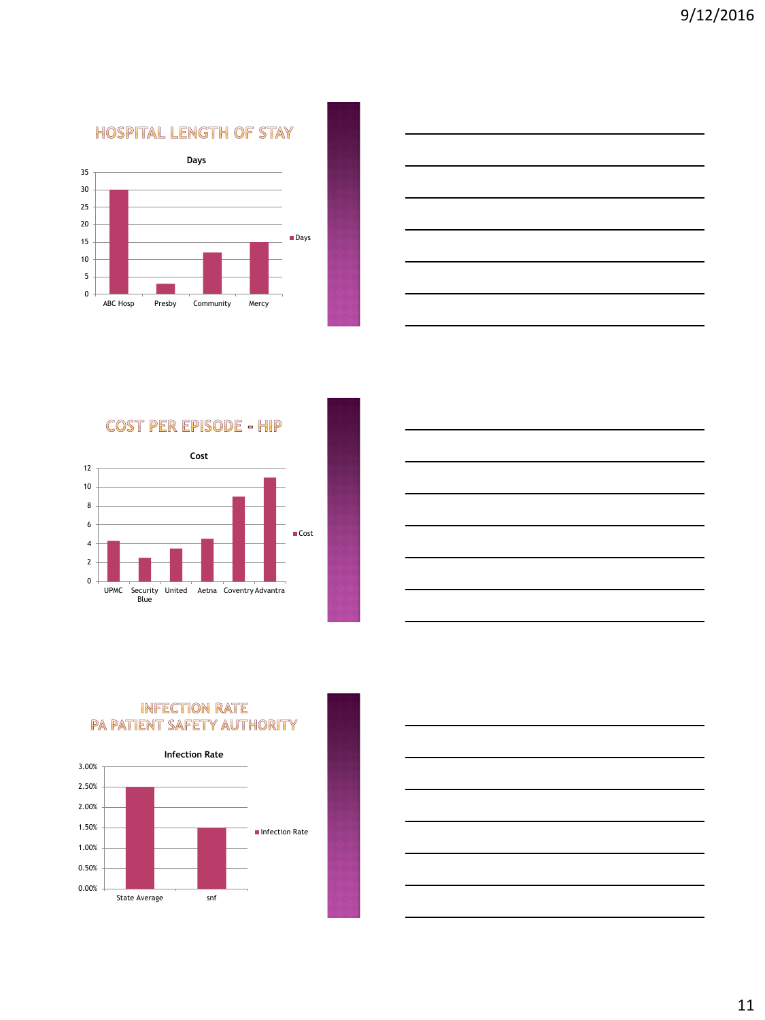**HOSPITAL LENGTH OF STAY** 





**COST PER EPISODE - HIP** 





# **INFECTION RATE** PA PATIENT SAFETY AUTHORITY